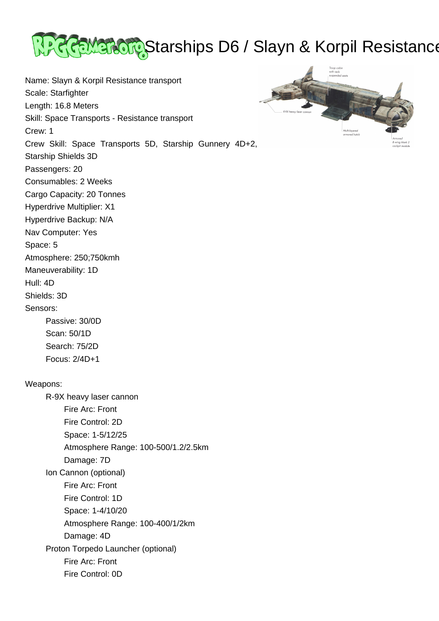

Name: Slayn & Korpil Resistance transport Scale: Starfighter Length: 16.8 Meters Skill: Space Transports - Resistance transport Crew: 1 Crew Skill: Space Transports 5D, Starship Gunnery 4D+2, Starship Shields 3D Passengers: 20 Consumables: 2 Weeks Cargo Capacity: 20 Tonnes Hyperdrive Multiplier: X1 Hyperdrive Backup: N/A Nav Computer: Yes Space: 5 Atmosphere: 250;750kmh Maneuverability: 1D Hull: 4D Shields: 3D Sensors: Passive: 30/0D Scan: 50/1D



Weapons:

 Search: 75/2D Focus: 2/4D+1

 R-9X heavy laser cannon Fire Arc: Front Fire Control: 2D Space: 1-5/12/25 Atmosphere Range: 100-500/1.2/2.5km Damage: 7D Ion Cannon (optional) Fire Arc: Front Fire Control: 1D Space: 1-4/10/20 Atmosphere Range: 100-400/1/2km Damage: 4D Proton Torpedo Launcher (optional) Fire Arc: Front Fire Control: 0D